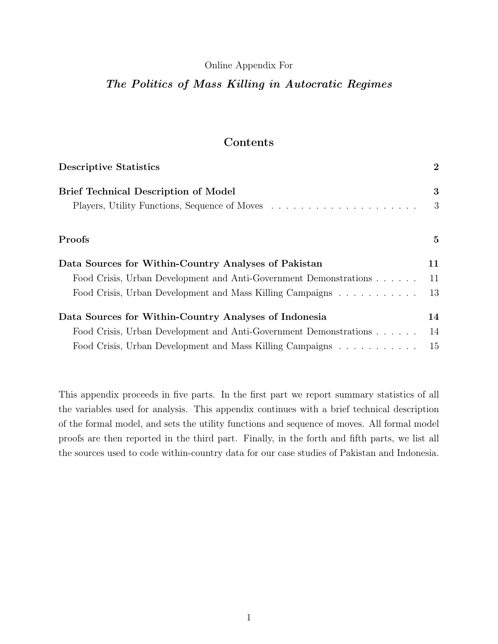#### Online Appendix For

# The Politics of Mass Killing in Autocratic Regimes

# Contents

| <b>Descriptive Statistics</b>                                     | $\overline{2}$ |
|-------------------------------------------------------------------|----------------|
| <b>Brief Technical Description of Model</b>                       | 3              |
|                                                                   | 3              |
| Proofs                                                            | 5              |
| Data Sources for Within-Country Analyses of Pakistan              | 11             |
| Food Crisis, Urban Development and Anti-Government Demonstrations | 11             |
| Food Crisis, Urban Development and Mass Killing Campaigns         | 13             |
| Data Sources for Within-Country Analyses of Indonesia             | 14             |
| Food Crisis, Urban Development and Anti-Government Demonstrations | 14             |
| Food Crisis, Urban Development and Mass Killing Campaigns         | 15             |

This appendix proceeds in five parts. In the first part we report summary statistics of all the variables used for analysis. This appendix continues with a brief technical description of the formal model, and sets the utility functions and sequence of moves. All formal model proofs are then reported in the third part. Finally, in the forth and fifth parts, we list all the sources used to code within-country data for our case studies of Pakistan and Indonesia.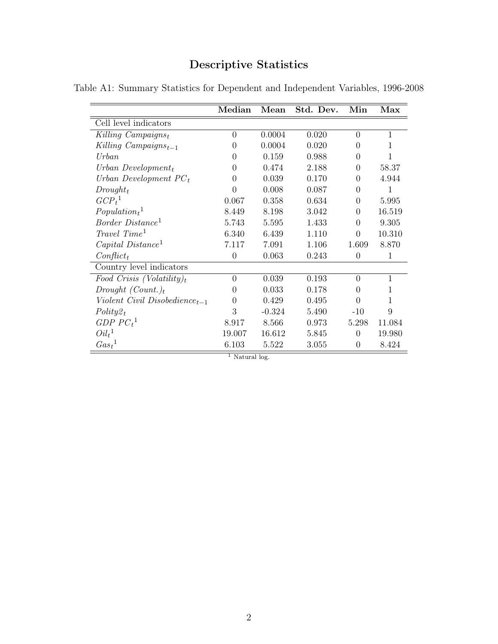# Descriptive Statistics

|                                           | Median         | Mean     | Std. Dev. | Min              | Max          |
|-------------------------------------------|----------------|----------|-----------|------------------|--------------|
| Cell level indicators                     |                |          |           |                  |              |
| Killing Campaignst                        | $\overline{0}$ | 0.0004   | 0.020     | $\theta$         | $\mathbf{1}$ |
| Killing $Campaigns_{t-1}$                 | $\theta$       | 0.0004   | 0.020     | $\Omega$         | 1            |
| Urban                                     | $\theta$       | 0.159    | 0.988     | $\overline{0}$   | 1            |
| Urban Development $_t$                    | $\theta$       | 0.474    | 2.188     | $\overline{0}$   | 58.37        |
| Urban Development $PC_t$                  | $\theta$       | 0.039    | 0.170     | $\Omega$         | 4.944        |
| $Drought_t$                               | $\theta$       | 0.008    | 0.087     | $\overline{0}$   | 1            |
| GCP <sub>t</sub> <sup>1</sup>             | 0.067          | 0.358    | 0.634     | $\overline{0}$   | 5.995        |
| $Population_t$ <sup>1</sup>               | 8.449          | 8.198    | 3.042     | $\Omega$         | 16.519       |
| Border Distance <sup>1</sup>              | 5.743          | 5.595    | 1.433     | $\Omega$         | 9.305        |
| $Travel\ Time^1$                          | 6.340          | 6.439    | 1.110     | $\overline{0}$   | 10.310       |
| $Capital\ Distance1$                      | 7.117          | 7.091    | 1.106     | 1.609            | 8.870        |
| $Conflict_t$                              | $\overline{0}$ | 0.063    | 0.243     | $\theta$         | 1            |
| Country level indicators                  |                |          |           |                  |              |
| Food Crisis (Volatility) <sub>t</sub>     | $\overline{0}$ | 0.039    | 0.193     | $\Omega$         | $\mathbf{1}$ |
| Drought $(Count.)_t$                      | $\theta$       | 0.033    | 0.178     | 0                | 1            |
| Violent Civil Disobedience <sub>t-1</sub> | $\overline{0}$ | 0.429    | 0.495     | $\theta$         | 1            |
| $Polity2_t$                               | 3              | $-0.324$ | 5.490     | $-10$            | 9            |
| GDP $PCt1$                                | 8.917          | 8.566    | 0.973     | 5.298            | 11.084       |
| $Oil_t^1$                                 | 19.007         | 16.612   | 5.845     | $\Omega$         | 19.980       |
| Gas <sub>t</sub> <sup>1</sup>             | 6.103          | 5.522    | 3.055     | $\boldsymbol{0}$ | 8.424        |
|                                           | $1 \times 11$  |          |           |                  |              |

Table A1: Summary Statistics for Dependent and Independent Variables, 1996-2008

Natural log.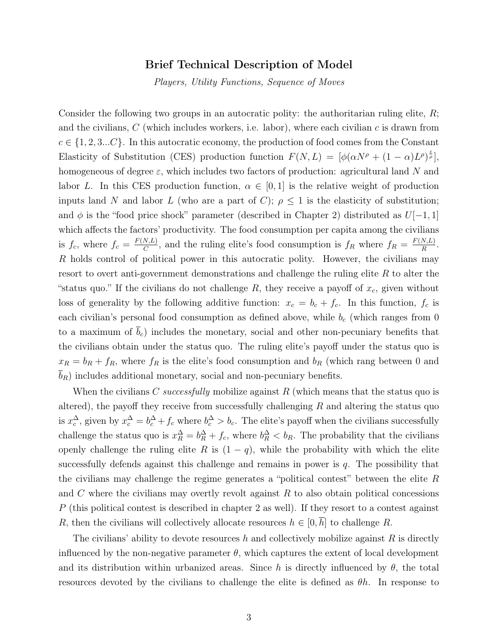## Brief Technical Description of Model

Players, Utility Functions, Sequence of Moves

Consider the following two groups in an autocratic polity: the authoritarian ruling elite,  $R$ ; and the civilians,  $C$  (which includes workers, i.e. labor), where each civilian  $c$  is drawn from  $c \in \{1, 2, 3...C\}$ . In this autocratic economy, the production of food comes from the Constant Elasticity of Substitution (CES) production function  $F(N,L) = [\phi(\alpha N^{\rho} + (1 - \alpha)L^{\rho})^{\frac{\epsilon}{\rho}}],$ homogeneous of degree  $\varepsilon$ , which includes two factors of production: agricultural land N and labor L. In this CES production function,  $\alpha \in [0,1]$  is the relative weight of production inputs land N and labor L (who are a part of C);  $\rho \leq 1$  is the elasticity of substitution; and  $\phi$  is the "food price shock" parameter (described in Chapter 2) distributed as  $U[-1, 1]$ which affects the factors' productivity. The food consumption per capita among the civilians is  $f_c$ , where  $f_c = \frac{F(N,L)}{C}$  $\frac{N,L}{C}$ , and the ruling elite's food consumption is  $f_R$  where  $f_R = \frac{F(N,L)}{R}$  $\frac{N,L)}{R}$ . R holds control of political power in this autocratic polity. However, the civilians may resort to overt anti-government demonstrations and challenge the ruling elite R to alter the "status quo." If the civilians do not challenge  $R$ , they receive a payoff of  $x_c$ , given without loss of generality by the following additive function:  $x_c = b_c + f_c$ . In this function,  $f_c$  is each civilian's personal food consumption as defined above, while  $b_c$  (which ranges from 0 to a maximum of  $\bar{b}_c$ ) includes the monetary, social and other non-pecuniary benefits that the civilians obtain under the status quo. The ruling elite's payoff under the status quo is  $x_R = b_R + f_R$ , where  $f_R$  is the elite's food consumption and  $b_R$  (which rang between 0 and  $b_R$ ) includes additional monetary, social and non-pecuniary benefits.

When the civilians C successfully mobilize against R (which means that the status quo is altered), the payoff they receive from successfully challenging  $R$  and altering the status quo is  $x_c^{\Delta}$ , given by  $x_c^{\Delta} = b_c^{\Delta} + f_c$  where  $b_c^{\Delta} > b_c$ . The elite's payoff when the civilians successfully challenge the status quo is  $x_R^{\Delta} = b_R^{\Delta} + f_c$ , where  $b_R^{\Delta} < b_R$ . The probability that the civilians openly challenge the ruling elite R is  $(1 - q)$ , while the probability with which the elite successfully defends against this challenge and remains in power is  $q$ . The possibility that the civilians may challenge the regime generates a "political contest" between the elite R and  $C$  where the civilians may overtly revolt against  $R$  to also obtain political concessions P (this political contest is described in chapter 2 as well). If they resort to a contest against R, then the civilians will collectively allocate resources  $h \in [0, \overline{h}]$  to challenge R.

The civilians' ability to devote resources h and collectively mobilize against R is directly influenced by the non-negative parameter  $\theta$ , which captures the extent of local development and its distribution within urbanized areas. Since h is directly influenced by  $\theta$ , the total resources devoted by the civilians to challenge the elite is defined as  $\theta h$ . In response to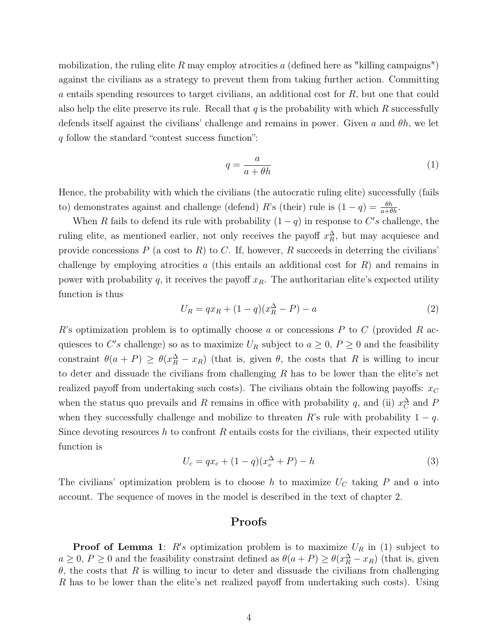mobilization, the ruling elite R may employ atrocities a (defined here as "killing campaigns") against the civilians as a strategy to prevent them from taking further action. Committing a entails spending resources to target civilians, an additional cost for R, but one that could also help the elite preserve its rule. Recall that  $q$  is the probability with which  $R$  successfully defends itself against the civilians' challenge and remains in power. Given a and  $\theta h$ , we let q follow the standard "contest success function":

$$
q = \frac{a}{a + \theta h} \tag{1}
$$

Hence, the probability with which the civilians (the autocratic ruling elite) successfully (fails to) demonstrates against and challenge (defend) R's (their) rule is  $(1 - q) = \frac{\theta h}{a + \theta h}$ .

When R fails to defend its rule with probability  $(1 - q)$  in response to C's challenge, the ruling elite, as mentioned earlier, not only receives the payoff  $x_R^{\Delta}$ , but may acquiesce and provide concessions P (a cost to R) to C. If, however, R succeeds in deterring the civilians' challenge by employing atrocities  $a$  (this entails an additional cost for  $R$ ) and remains in power with probability q, it receives the payoff  $x_R$ . The authoritarian elite's expected utility function is thus

$$
U_R = qx_R + (1 - q)(x_R^{\Delta} - P) - a
$$
\n(2)

R's optimization problem is to optimally choose a or concessions  $P$  to  $C$  (provided  $R$  acquiesces to C's challenge) so as to maximize  $U_R$  subject to  $a \geq 0$ ,  $P \geq 0$  and the feasibility constraint  $\theta(a + P) \ge \theta(x_R^{\Delta} - x_R)$  (that is, given  $\theta$ , the costs that R is willing to incur to deter and dissuade the civilians from challenging  $R$  has to be lower than the elite's net realized payoff from undertaking such costs). The civilians obtain the following payoffs:  $x_C$ when the status quo prevails and R remains in office with probability q, and (ii)  $x_C^{\Delta}$  and F when they successfully challenge and mobilize to threaten R's rule with probability  $1 - q$ . Since devoting resources h to confront R entails costs for the civilians, their expected utility function is

$$
U_c = qx_c + (1 - q)(x_c^{\Delta} + P) - h \tag{3}
$$

The civilians' optimization problem is to choose h to maximize  $U_C$  taking P and a into account. The sequence of moves in the model is described in the text of chapter 2.

### Proofs

**Proof of Lemma 1**:  $R's$  optimization problem is to maximize  $U_R$  in (1) subject to  $a \geq 0$ ,  $P \geq 0$  and the feasibility constraint defined as  $\theta(a+P) \geq \theta(x_R^{\Delta} - x_R)$  (that is, given  $\theta$ , the costs that R is willing to incur to deter and dissuade the civilians from challenging R has to be lower than the elite's net realized payoff from undertaking such costs). Using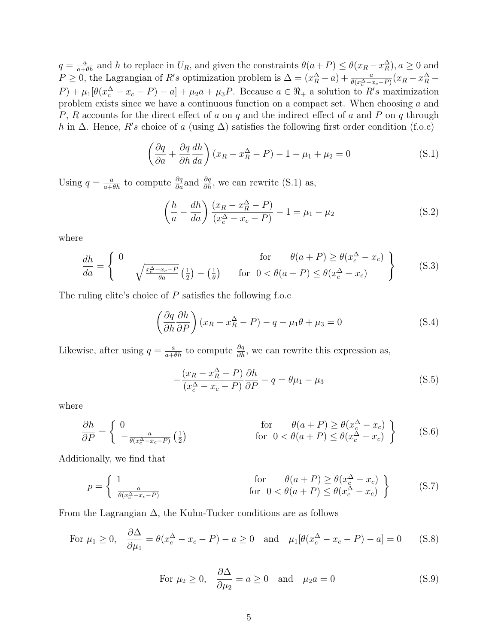$q = \frac{a}{a + \theta h}$  and h to replace in  $U_R$ , and given the constraints  $\theta(a + P) \leq \theta(x_R - x_R^{\Delta}), a \geq 0$  and  $P \ge 0$ , the Lagrangian of R's optimization problem is  $\Delta = (x_R^{\Delta} - a) + \frac{a}{\theta(x_C^{\Delta} - x_C - P)}(x_R - x_R^{\Delta} - a)$  $(P) + \mu_1[\theta(x_c^{\Delta} - x_c - P) - a] + \mu_2 a + \mu_3 P$ . Because  $a \in \Re_+$  a solution to  $R's$  maximization problem exists since we have a continuous function on a compact set. When choosing a and P, R accounts for the direct effect of a on q and the indirect effect of a and P on q through h in  $\Delta$ . Hence, R's choice of a (using  $\Delta$ ) satisfies the following first order condition (f.o.c)

$$
\left(\frac{\partial q}{\partial a} + \frac{\partial q}{\partial h} \frac{dh}{da}\right) (x_R - x_R^{\Delta} - P) - 1 - \mu_1 + \mu_2 = 0
$$
\n(S.1)

Using  $q = \frac{a}{a + \theta h}$  to compute  $\frac{\partial q}{\partial a}$  and  $\frac{\partial q}{\partial h}$ , we can rewrite (S.1) as,

$$
\left(\frac{h}{a} - \frac{dh}{da}\right) \frac{(x_R - x_R^{\Delta} - P)}{(x_c^{\Delta} - x_c - P)} - 1 = \mu_1 - \mu_2
$$
\n(S.2)

where

$$
\frac{dh}{da} = \begin{cases}\n0 & \text{for } \theta(a+P) \ge \theta(x_c^{\Delta} - x_c) \\
\sqrt{\frac{x_c^{\Delta} - x_c - P}{\theta a}} \left(\frac{1}{2}\right) - \left(\frac{1}{\theta}\right) & \text{for } 0 < \theta(a+P) \le \theta(x_c^{\Delta} - x_c)\n\end{cases}
$$
\n(S.3)

The ruling elite's choice of P satisfies the following f.o.c

$$
\left(\frac{\partial q}{\partial h}\frac{\partial h}{\partial P}\right)(x_R - x_R^{\Delta} - P) - q - \mu_1 \theta + \mu_3 = 0
$$
\n(S.4)

Likewise, after using  $q = \frac{a}{a + \theta h}$  to compute  $\frac{\partial q}{\partial h}$ , we can rewrite this expression as,

$$
-\frac{(x_R - x_R^{\Delta} - P)}{(x_c^{\Delta} - x_c - P)} \frac{\partial h}{\partial P} - q = \theta \mu_1 - \mu_3
$$
 (S.5)

where

$$
\frac{\partial h}{\partial P} = \begin{cases} 0 & \text{for } \theta(a+P) \ge \theta(x_c^{\Delta} - x_c) \\ -\frac{a}{\theta(x_c^{\Delta} - x_c - P)} \left(\frac{1}{2}\right) & \text{for } 0 < \theta(a+P) \le \theta(x_c^{\Delta} - x_c) \end{cases}
$$
(S.6)

Additionally, we find that

$$
p = \begin{cases} 1 & \text{for } \theta(a+P) \ge \theta(x_c^{\Delta} - x_c) \\ \frac{a}{\theta(x_c^{\Delta} - x_c - P)} & \text{for } 0 < \theta(a+P) \le \theta(x_c^{\Delta} - x_c) \end{cases}
$$
 (S.7)

From the Lagrangian  $\Delta$ , the Kuhn-Tucker conditions are as follows

For 
$$
\mu_1 \ge 0
$$
,  $\frac{\partial \Delta}{\partial \mu_1} = \theta(x_c^{\Delta} - x_c - P) - a \ge 0$  and  $\mu_1[\theta(x_c^{\Delta} - x_c - P) - a] = 0$  (S.8)

For 
$$
\mu_2 \ge 0
$$
,  $\frac{\partial \Delta}{\partial \mu_2} = a \ge 0$  and  $\mu_2 a = 0$  (S.9)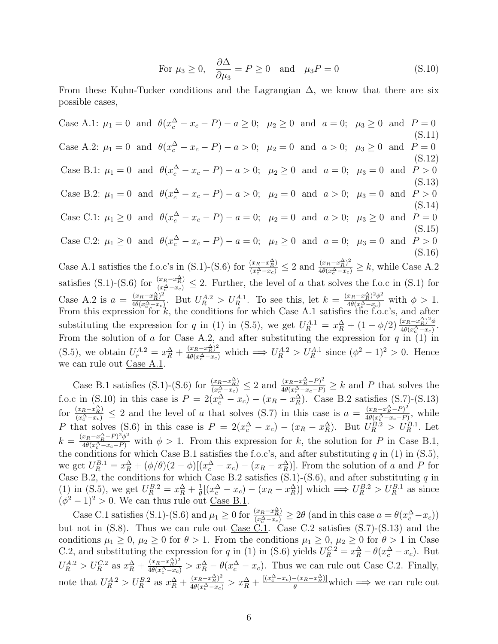For 
$$
\mu_3 \ge 0
$$
,  $\frac{\partial \Delta}{\partial \mu_3} = P \ge 0$  and  $\mu_3 P = 0$  (S.10)

From these Kuhn-Tucker conditions and the Lagrangian  $\Delta$ , we know that there are six possible cases,

Case A.1:  $\mu_1 = 0$  and  $\theta(x_c^{\Delta} - x_c - P) - a \ge 0$ ;  $\mu_2 \ge 0$  and  $a = 0$ ;  $\mu_3 \ge 0$  and  $P = 0$ (S.11) Case A.2:  $\mu_1 = 0$  and  $\theta(x_c^{\Delta} - x_c - P) - a > 0$ ;  $\mu_2 = 0$  and  $a > 0$ ;  $\mu_3 \ge 0$  and  $P = 0$ (S.12) Case B.1:  $\mu_1 = 0$  and  $\theta(x_c^{\Delta} - x_c - P) - a > 0$ ;  $\mu_2 \ge 0$  and  $a = 0$ ;  $\mu_3 = 0$  and  $P > 0$ (S.13) Case B.2:  $\mu_1 = 0$  and  $\theta(x_c^{\Delta} - x_c - P) - a > 0$ ;  $\mu_2 = 0$  and  $a > 0$ ;  $\mu_3 = 0$  and  $P > 0$ (S.14) Case C.1:  $\mu_1 \ge 0$  and  $\theta(x_c^{\Delta} - x_c - P) - a = 0$ ;  $\mu_2 = 0$  and  $a > 0$ ;  $\mu_3 \ge 0$  and  $P = 0$ (S.15) Case C.2:  $\mu_1 \ge 0$  and  $\theta(x_c^{\Delta} - x_c - P) - a = 0$ ;  $\mu_2 \ge 0$  and  $a = 0$ ;  $\mu_3 = 0$  and  $P > 0$ (S.16) Case A.1 satisfies the f.o.c's in (S.1)-(S.6) for  $\frac{(x_R-x_R^{\Delta})}{(x_c^{\Delta}-x_c)} \leq 2$  and  $\frac{(x_R-x_R^{\Delta})^2}{4\theta(x_c^{\Delta}-x_c)} \geq k$ , while Case A.2

satisfies (S.1)-(S.6) for  $\frac{(x_R-x_R^{\Delta})}{(x_c^{\Delta}-x_c)} \leq 2$ . Further, the level of a that solves the f.o.c in (S.1) for Case A.2 is  $a = \frac{(x_R - x_R^{\Delta})^2}{4\theta(x_{\Delta} - x)}$  $\frac{(x_R-x_R^{\Delta})^2}{4\theta(x_C^{\Delta}-x_C)}$ . But  $U_R^{A.2} > U_R^{A.1}$ . To see this, let  $k = \frac{(x_R-x_R^{\Delta})^2\phi^2}{4\theta(x_C^{\Delta}-x_C)}$  with  $\phi > 1$ . From this expression for  $k$ , the conditions for which Case A.1 satisfies the f.o.c's, and after substituting the expression for q in (1) in (S.5), we get  $U_R^{A.1} = x_R^{\Delta} + (1 - \phi/2) \frac{(x_R - x_R^{\Delta})^2 \phi}{4\theta(x_R^{\Delta} - x_C)}$  $\frac{(x_R-x_{\overline{R}})^{-\varphi}}{4\theta(x_c^{\Delta}-x_c)}$ From the solution of a for Case A.2, and after substituting the expression for  $q$  in  $(1)$  in (S.5), we obtain  $U_r^{A.2} = x_R^{\Delta} + \frac{(x_R - x_R^{\Delta})^2}{4\theta(x_c^{\Delta} - x_c)}$  which  $\implies U_R^{A.2} > U_R^{A.1}$  since  $(\phi^2 - 1)^2 > 0$ . Hence we can rule out Case A.1.

Case B.1 satisfies (S.1)-(S.6) for  $\frac{(x_R - x_R^{\Delta})}{(x_C^{\Delta} - x_C)} \leq 2$  and  $\frac{(x_R - x_R^{\Delta} - P)^2}{4\theta(x_C^{\Delta} - x_C - P)} \geq k$  and P that solves the f.o.c in (S.10) in this case is  $P = 2(x_c^{\Delta} - x_c) - (x_R - x_R^{\Delta})$ . Case B.2 satisfies (S.7)-(S.13) for  $\frac{(x_R-x_R^{\Delta})}{(x_c^{\Delta}-x_c)} \leq 2$  and the level of a that solves (S.7) in this case is  $a = \frac{(x_R-x_R^{\Delta}-P)^2}{4\theta(x_c^{\Delta}-x_c-P)}$  $\frac{(x_R-x_R^{-}-P)^{-}}{4\theta(x_c^{\Delta}-x_c-P)},$  while P that solves (S.6) in this case is  $P = 2(x_c^{\Delta} - x_c) - (x_R - x_R^{\Delta})$ . But  $U_R^{B.2} > U_R^{B.1}$ . Let  $k = \frac{(x_R - x_R^{\Delta} - P)^2 \phi^2}{4\theta(x_c^{\Delta} - x_c - P)}$  with  $\phi > 1$ . From this expression for k, the solution for P in Case B.1, the conditions for which Case B.1 satisfies the f.o.c's, and after substituting  $q$  in (1) in (S.5), we get  $U_R^{B.1} = x_R^{\Delta} + (\phi/\theta)(2 - \phi)[(x_c^{\Delta} - x_c) - (x_R - x_R^{\Delta})]$ . From the solution of a and P for Case B.2, the conditions for which Case B.2 satisfies (S.1)-(S.6), and after substituting q in (1) in (S.5), we get  $U_R^{B.2} = x_R^{\Delta} + \frac{1}{\theta}$  $\frac{1}{\theta}[(x_c^{\Delta} - x_c) - (x_R - x_R^{\Delta})]$  which  $\implies U_R^{B.2} > U_R^{B.1}$  as since  $(\phi^2 - 1)^2 > 0$ . We can thus rule out <u>Case B.1</u>.

Case C.1 satisfies (S.1)-(S.6) and  $\mu_1 \ge 0$  for  $\frac{(x_R - x_R^{\Delta})}{(x_c^{\Delta} - x_c)} \ge 2\theta$  (and in this case  $a = \theta(x_c^{\Delta} - x_c)$ ) but not in  $(S.8)$ . Thus we can rule out Case C.1. Case C.2 satisfies  $(S.7)-(S.13)$  and the conditions  $\mu_1 \geq 0$ ,  $\mu_2 \geq 0$  for  $\theta > 1$ . From the conditions  $\mu_1 \geq 0$ ,  $\mu_2 \geq 0$  for  $\theta > 1$  in Case C.2, and substituting the expression for q in (1) in (S.6) yields  $U_R^{C.2} = x_R^{\Delta} - \theta(x_c^{\Delta} - x_c)$ . But  $U_R^{A.2} > U_R^{C.2}$  as  $x_R^{\Delta} + \frac{(x_R - x_R^{\Delta})^2}{4\theta(x_c^{\Delta} - x_c)} > x_R^{\Delta} - \theta(x_c^{\Delta} - x_c)$ . Thus we can rule out <u>Case C.2</u>. Finally, note that  $U_R^{A.2} > U_R^{B.2}$  as  $x_R^{\Delta} + \frac{(x_R - x_R^{\Delta})^2}{4\theta(x_c^{\Delta} - x_c)} > x_R^{\Delta} + \frac{[(x_c^{\Delta} - x_c) - (x_R - x_R^{\Delta})]}{\theta}$  which  $\implies$  we can rule out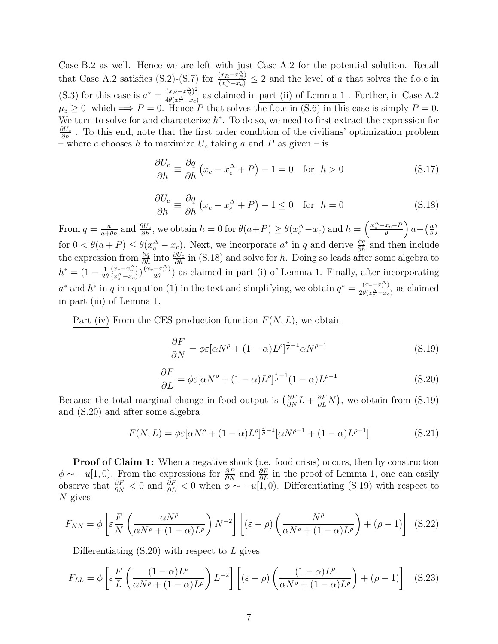Case B.2 as well. Hence we are left with just  $\frac{\text{Case A.2}}{\text{Case A.2}}$  for the potential solution. Recall that Case A.2 satisfies (S.2)-(S.7) for  $\frac{(x_R-x_R^{\Delta})}{(x_c^{\Delta}-x_c)} \leq 2$  and the level of a that solves the f.o.c in (S.3) for this case is  $a^* = \frac{(x_R - x_R^2)^2}{4a(x_A^2 - x_R^2)}$  $\frac{(x_R - x_{\overline{R}})^2}{4\theta(x_c^{\Delta} - x_c)}$  as claimed in <u>part (ii) of Lemma 1</u>. Further, in Case A.2  $\mu_3 \geq 0$  which  $\implies P = 0$ . Hence P that solves the f.o.c in (S.6) in this case is simply  $P = 0$ . We turn to solve for and characterize  $h^*$ . To do so, we need to first extract the expression for  $\frac{\partial U_c}{\partial h}$ . To this end, note that the first order condition of the civilians' optimization problem – where c chooses h to maximize  $U_c$  taking a and P as given – is

$$
\frac{\partial U_c}{\partial h} \equiv \frac{\partial q}{\partial h} \left( x_c - x_c^{\Delta} + P \right) - 1 = 0 \quad \text{for} \quad h > 0 \tag{S.17}
$$

$$
\frac{\partial U_c}{\partial h} \equiv \frac{\partial q}{\partial h} \left( x_c - x_c^{\Delta} + P \right) - 1 \le 0 \quad \text{for} \quad h = 0 \tag{S.18}
$$

From  $q = \frac{a}{a+\theta h}$  and  $\frac{\partial U_c}{\partial h}$ , we obtain  $h = 0$  for  $\theta(a+P) \ge \theta(x_c^{\Delta} - x_c)$  and  $h = \left(\frac{x_c^{\Delta} - x_c - P_c}{\theta}\right)^2$  $\frac{x_c-P}{\theta}$  a –  $\left(\frac{a}{\theta}\right)$  $\frac{a}{\theta}$ for  $0 < \theta(a + P) \leq \theta(x_c^{\Delta} - x_c)$ . Next, we incorporate  $a^*$  in q and derive  $\frac{\partial q}{\partial h}$  and then include the expression from  $\frac{\partial q}{\partial h}$  into  $\frac{\partial U_c}{\partial h}$  in (S.18) and solve for h. Doing so leads after some algebra to  $h^* = (1 - \frac{1}{2\theta})$  $2\theta$  $(x_r-x_r^{\Delta})$  $\frac{(x_r - x_r^{\Delta})}{(x_c^{\Delta} - x_c)}$ ) $\frac{(x_r - x_r^{\Delta})}{2\theta}$  $\frac{-x_{r}^{-}}{2\theta}$ ) as claimed in <u>part (i) of Lemma 1</u>. Finally, after incorporating  $a^*$  and  $h^*$  in q in equation (1) in the text and simplifying, we obtain  $q^* = \frac{(x_r - x_r^{\Delta})}{2\theta(r^{\Delta} - r)}$  $\frac{(x_r - x_r - x)}{2\theta(x_c^{\Delta} - x_c)}$  as claimed in part (iii) of Lemma 1.

Part (iv) From the CES production function  $F(N, L)$ , we obtain

$$
\frac{\partial F}{\partial N} = \phi \varepsilon [\alpha N^{\rho} + (1 - \alpha)L^{\rho}]^{\frac{\varepsilon}{\rho} - 1} \alpha N^{\rho - 1}
$$
\n(S.19)

$$
\frac{\partial F}{\partial L} = \phi \varepsilon [\alpha N^{\rho} + (1 - \alpha)L^{\rho}]^{\frac{\varepsilon}{\rho} - 1} (1 - \alpha)L^{\rho - 1}
$$
\n(S.20)

Because the total marginal change in food output is  $(\frac{\partial F}{\partial N}L + \frac{\partial F}{\partial L}N)$ , we obtain from (S.19) and (S.20) and after some algebra

$$
F(N,L) = \phi \varepsilon [\alpha N^{\rho} + (1 - \alpha)L^{\rho}]^{\frac{\varepsilon}{\rho} - 1} [\alpha N^{\rho - 1} + (1 - \alpha)L^{\rho - 1}]
$$
 (S.21)

**Proof of Claim 1:** When a negative shock (i.e. food crisis) occurs, then by construction  $\phi \sim -u(1,0)$ . From the expressions for  $\frac{\partial F}{\partial N}$  and  $\frac{\partial F}{\partial L}$  in the proof of Lemma 1, one can easily observe that  $\frac{\partial F}{\partial N} < 0$  and  $\frac{\partial F}{\partial L} < 0$  when  $\phi \sim -u(1,0)$ . Differentiating (S.19) with respect to N gives

$$
F_{NN} = \phi \left[ \varepsilon \frac{F}{N} \left( \frac{\alpha N^{\rho}}{\alpha N^{\rho} + (1 - \alpha)L^{\rho}} \right) N^{-2} \right] \left[ (\varepsilon - \rho) \left( \frac{N^{\rho}}{\alpha N^{\rho} + (1 - \alpha)L^{\rho}} \right) + (\rho - 1) \right] \tag{S.22}
$$

Differentiating  $(S.20)$  with respect to L gives

$$
F_{LL} = \phi \left[ \varepsilon \frac{F}{L} \left( \frac{(1 - \alpha)L^{\rho}}{\alpha N^{\rho} + (1 - \alpha)L^{\rho}} \right) L^{-2} \right] \left[ (\varepsilon - \rho) \left( \frac{(1 - \alpha)L^{\rho}}{\alpha N^{\rho} + (1 - \alpha)L^{\rho}} \right) + (\rho - 1) \right] \quad (S.23)
$$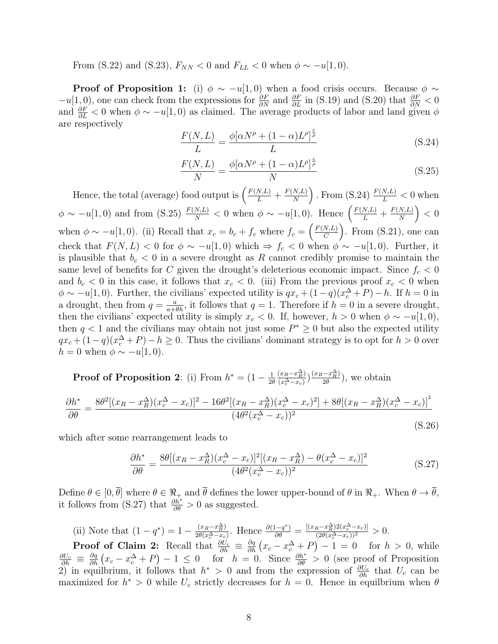From (S.22) and (S.23),  $F_{NN}$  < 0 and  $F_{LL}$  < 0 when  $\phi \sim -u[1,0)$ .

**Proof of Proposition 1:** (i)  $\phi \sim -u(1,0)$  when a food crisis occurs. Because  $\phi \sim$  $-u[1,0],$  one can check from the expressions for  $\frac{\partial F}{\partial N}$  and  $\frac{\partial F}{\partial L}$  in (S.19) and (S.20) that  $\frac{\partial F}{\partial N} < 0$ and  $\frac{\partial F}{\partial L}$  < 0 when  $\phi \sim -u(1,0)$  as claimed. The average products of labor and land given  $\phi$ are respectively

$$
\frac{F(N,L)}{L} = \frac{\phi[\alpha N^{\rho} + (1-\alpha)L^{\rho}]^{\frac{\epsilon}{\rho}}}{L}
$$
(S.24)

$$
\frac{F(N,L)}{N} = \frac{\phi[\alpha N^{\rho} + (1-\alpha)L^{\rho}]^{\frac{\epsilon}{\rho}}}{N}
$$
(S.25)

Hence, the total (average) food output is  $\left(\frac{F(N,L)}{L} + \frac{F(N,L)}{N}\right)$  $\frac{N,L)}{N}$ ). From (S.24)  $\frac{F(N,L)}{L} < 0$  when  $\phi \sim -u[1,0)$  and from (S.25)  $\frac{F(N,L)}{N} < 0$  when  $\phi \sim -u[1,0)$ . Hence  $\left(\frac{F(N,L)}{L} + \frac{F(N,L)}{N}\right)$  $\frac{N,L)}{N}\bigg\}\, <\, 0$ when  $\phi \sim -u(1,0)$ . (ii) Recall that  $x_c = b_c + f_c$  where  $f_c = \left(\frac{F(N,L)}{C}\right)$  $\left(\frac{N,L}{C}\right)$ . From (S.21), one can check that  $F(N, L) < 0$  for  $\phi \sim -u(1, 0)$  which  $\Rightarrow f_c < 0$  when  $\phi \sim -u(1, 0)$ . Further, it is plausible that  $b_c < 0$  in a severe drought as R cannot credibly promise to maintain the same level of benefits for C given the drought's deleterious economic impact. Since  $f_c < 0$ and  $b_c < 0$  in this case, it follows that  $x_c < 0$ . (iii) From the previous proof  $x_c < 0$  when  $\phi \sim -u(1,0)$ . Further, the civilians' expected utility is  $qx_c + (1-q)(x_c^{\Delta} + P) - h$ . If  $h = 0$  in a drought, then from  $q = \frac{a}{a + \theta h}$ , it follows that  $q = 1$ . Therefore if  $h = 0$  in a severe drought, then the civilians' expected utility is simply  $x_c < 0$ . If, however,  $h > 0$  when  $\phi \sim -u(1,0)$ , then  $q < 1$  and the civilians may obtain not just some  $P^* \geq 0$  but also the expected utility  $qx_c + (1-q)(x_c^{\Delta} + P) - h \ge 0$ . Thus the civilians' dominant strategy is to opt for  $h > 0$  over  $h = 0$  when  $\phi \sim -u(1,0)$ .

**Proof of Proposition 2:** (i) From  $h^* = (1 - \frac{1}{2\theta})$  $2\theta$  $(x_R-x_R^{\Delta})$  $\frac{(x_R-x_R^{\Delta})}{(x_c^{\Delta}-x_c)}$  $\frac{(x_R-x_R^{\Delta})}{2\theta}$  $\frac{(-x_R)}{2\theta}$ , we obtain

$$
\frac{\partial h^*}{\partial \theta} = \frac{8\theta^2[(x_R - x_R^{\Delta})(x_c^{\Delta} - x_c)]^2 - 16\theta^2[(x_R - x_R^{\Delta})(x_c^{\Delta} - x_c)^2] + 8\theta[(x_R - x_R^{\Delta})(x_c^{\Delta} - x_c)]^2}{(4\theta^2(x_c^{\Delta} - x_c))^2}
$$
(S.26)

which after some rearrangement leads to

$$
\frac{\partial h^*}{\partial \theta} = \frac{8\theta [(x_R - x_R^{\Delta})(x_c^{\Delta} - x_c)]^2 [(x_R - x_R^{\Delta}) - \theta (x_c^{\Delta} - x_c)]^2}{(4\theta^2 (x_c^{\Delta} - x_c))^2}
$$
(S.27)

Define  $\theta \in [0, \theta]$  where  $\theta \in \Re_+$  and  $\theta$  defines the lower upper-bound of  $\theta$  in  $\Re_+$ . When  $\theta \to \theta$ , it follows from (S.27) that  $\frac{\partial h^*}{\partial \theta} > 0$  as suggested.

(ii) Note that  $(1-q^*)=1-\frac{(x_R-x_R^{\Delta})}{2\theta(x_{\Delta}-x_R^{\Delta})}$  $\frac{(x_R - x_R^{\Delta})}{2\theta(x_c^{\Delta} - x_c)}$ . Hence  $\frac{\partial (1 - q^*)}{\partial \theta} = \frac{[(x_R - x_R^{\Delta})2(x_c^{\Delta} - x_c)]}{(2\theta(x_c^{\Delta} - x_c))^2} > 0$ .

**Proof of Claim 2:** Recall that  $\frac{\partial U_c}{\partial h} \equiv \frac{\partial q}{\partial h} (x_c - x_c^{\Delta} + P) - 1 = 0$  for  $h > 0$ , while  $\frac{\partial U_c}{\partial h} \equiv \frac{\partial q}{\partial h} (x_c - x_c^{\Delta} + P) - 1 \leq 0$  for  $h = 0$ . Since  $\frac{\partial h^*}{\partial \theta} > 0$  (see proof of Proposition 2) in equilibrium, it follows that  $h^* > 0$  and from the expression of  $\frac{\partial U_c}{\partial h}$  that  $U_c$  can be maximized for  $h^* > 0$  while  $U_c$  strictly decreases for  $h = 0$ . Hence in equilbrium when  $\theta$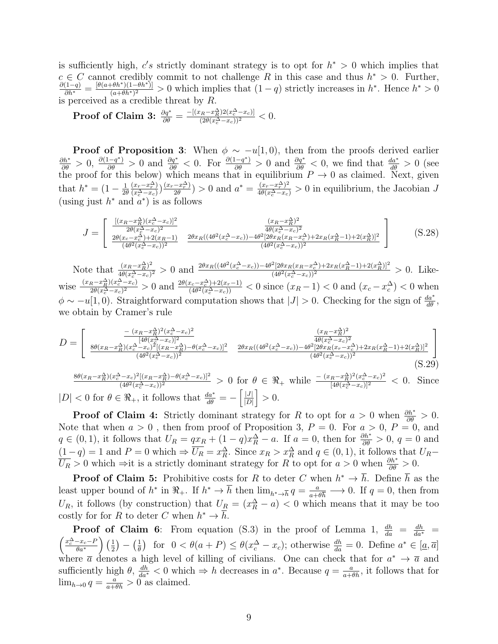is sufficiently high,  $c's$  strictly dominant strategy is to opt for  $h^* > 0$  which implies that  $c \in C$  cannot credibly commit to not challenge R in this case and thus  $h^* > 0$ . Further,  $\frac{\partial (1-q)}{\partial h^*}=\frac{[\theta(a+\theta h^*)(1-\theta h^*)]}{(a+\theta h^*)^2}$  $\frac{(\theta h^*)(1-\theta h^*)}{(a+\theta h^*)^2} > 0$  which implies that  $(1-q)$  strictly increases in  $h^*$ . Hence  $h^* > 0$ is perceived as a credible threat by R.

Proof of Claim 3: 
$$
\frac{\partial q^*}{\partial \theta} = \frac{-[(x_R - x_R^{\Delta})2(x_c^{\Delta} - x_c)]}{(2\theta(x_c^{\Delta} - x_c))^2} < 0.
$$

**Proof of Proposition 3:** When  $\phi \sim -u(1,0)$ , then from the proofs derived earlier  $\frac{\partial h^*}{\partial \theta} > 0$ ,  $\frac{\partial (1-q^*)}{\partial \theta} > 0$  and  $\frac{\partial q^*}{\partial \theta} < 0$ . For  $\frac{\partial (1-q^*)}{\partial \theta} > 0$  and  $\frac{\partial q^*}{\partial \theta} < 0$ , we find that  $\frac{da^*}{d\theta} > 0$  (see the proof for this below) which means that in equilibrium  $P \to 0$  as claimed. Next, given that  $h^* = (1 - \frac{1}{2\ell})$  $2\theta$  $(x_r-x_r^{\Delta})$  $\frac{(x_r - x_r^{\Delta})}{(x_c^{\Delta} - x_c)}$  $\frac{(x_r - x_r^{\Delta})}{2\theta}$  $\frac{-x_r^{\Delta}(x_r-x_r^{\Delta})}{2\theta}(x_s^{\Delta}-x_c)} > 0$  in equilibrium, the Jacobian J (using just  $h^*$  and  $\alpha^*$ ) is as follows

$$
J = \begin{bmatrix} \frac{[(x_R - x_R^{\Delta})(x_c^{\Delta} - x_c)]^2}{2\theta(x_c^{\Delta} - x_c)^2} & \frac{(x_R - x_R^{\Delta})^2}{4\theta(x_c^{\Delta} - x_c)^2} \\ \frac{2\theta(x_c - x_c^{\Delta}) + 2(x_R - 1)}{(4\theta^2(x_c^{\Delta} - x_c))^2} & \frac{2\theta x_R((4\theta^2(x_c^{\Delta} - x_c)) - 4\theta^2[2\theta x_R(x_R - x_c^{\Delta}) + 2x_R(x_R^{\Delta} - 1) + 2(x_R^{\Delta})]^2}{(4\theta^2(x_c^{\Delta} - x_c))^2} \end{bmatrix}
$$
(S.28)

Note that  $\frac{(x_R-x_R^{\Delta})^2}{4\theta(x_{\Delta}-x_R)}$  $\frac{(x_R - x_R^{\Delta})^2}{4\theta(x_c^{\Delta} - x_c)^2} > 0$  and  $\frac{2\theta x_R((4\theta^2(x_c^{\Delta} - x_c)) - 4\theta^2[2\theta x_R(x_R - x_c^{\Delta}) + 2x_R(x_R^{\Delta} - 1) + 2(x_R^{\Delta})]^2}{(4\theta^2(x_c^{\Delta} - x_c))^2}$  $\frac{((2\theta x_R(x_R - x_c)) + (2\theta R(x_R - x_l)) + (2\theta R(x_c - x_c)))^2}{(4\theta^2(x_c^{\Delta} - x_c))^2} > 0.$  Likewise  $\frac{(x_R-x_R^{\Delta})(x_c^{\Delta}-x_c)}{2\theta(x_{\Delta}-x_c)^2}$  $\frac{a_R - x_R^{\Delta}(x_c^{\Delta} - x_c)}{2\theta(x_c^{\Delta} - x_c)^2} > 0$  and  $\frac{2\theta(x_c - x_c^{\Delta}) + 2(x_r - 1)}{(4\theta^2(x_c^{\Delta} - x_c))}$  $\frac{(x_c-x_c^{\Delta})+2(x_r-1)}{(4\theta^2(x_c^{\Delta}-x_c))} < 0$  since  $(x_R-1) < 0$  and  $(x_c-x_c^{\Delta}) < 0$  when  $\phi \sim -u(1,0)$ . Straightforward computation shows that  $|J| > 0$ . Checking for the sign of  $\frac{da^*}{d\theta}$ , we obtain by Cramer's rule

$$
D = \begin{bmatrix} \frac{-(x_R - x_R^{\Delta})^2 (x_C^{\Delta} - x_C)^2}{[4\theta (x_C^{\Delta} - x_C)]^2} & \frac{(x_R - x_R^{\Delta})^2}{4\theta (x_C^{\Delta} - x_C)^2} \\ \frac{8\theta (x_R - x_R^{\Delta}) (x_C^{\Delta} - x_C)^2 [(x_R - x_R^{\Delta}) - \theta (x_C^{\Delta} - x_C)]^2}{(4\theta^2 (x_C^{\Delta} - x_C))^2} & \frac{2\theta x_R ((4\theta^2 (x_C^{\Delta} - x_C)) - 4\theta^2 [2\theta x_R (x_T - x_C^{\Delta}) + 2x_R (x_R^{\Delta} - 1) + 2(x_R^{\Delta})]^2}{(4\theta^2 (x_C^{\Delta} - x_C))^2} \end{bmatrix} \tag{S.29}
$$

 $8\theta(x_R - x_R^{\Delta})(x_c^{\Delta} - x_c)^2[(x_R - x_R^{\Delta}) - \theta(x_c^{\Delta} - x_c)]^2$  $\frac{(4\theta^2(x_c^{\Delta}-x_c))^2[(x_R-x_R^{\Delta})-\theta(x_c^{\Delta}-x_c)]^2}{(4\theta^2(x_c^{\Delta}-x_c))^2} > 0$  for  $\theta \in \Re_+$  while  $\frac{-(x_R-x_R^{\Delta})^2(x_c^{\Delta}-x_c)^2}{[4\theta(x_c^{\Delta}-x_c)]^2} < 0$ . Since  $|D| < 0$  for  $\theta \in \Re_+$ , it follows that  $\frac{da^*}{d\theta} = -\left[\frac{|J|}{|D|}\right]$  $\left|\frac{|J|}{|D|}\right| > 0.$ 

**Proof of Claim 4:** Strictly dominant strategy for R to opt for  $a > 0$  when  $\frac{\partial h^*}{\partial \theta} > 0$ . Note that when  $a > 0$ , then from proof of Proposition 3,  $P = 0$ . For  $a > 0$ ,  $P = 0$ , and  $q \in (0,1)$ , it follows that  $U_R = qx_R + (1-q)x_R^{\Delta} - a$ . If  $a = 0$ , then for  $\frac{\partial h^*}{\partial \theta} > 0$ ,  $q = 0$  and  $(1-q) = 1$  and  $P = 0$  which  $\Rightarrow \overline{U_R} = x_R^{\Delta}$ . Since  $x_R > x_R^{\Delta}$  and  $q \in (0,1)$ , it follows that  $U_R$ - $\overline{U_R} > 0$  which ⇒it is a strictly dominant strategy for R to opt for  $a > 0$  when  $\frac{\partial h^*}{\partial \theta} > 0$ .

**Proof of Claim 5:** Prohibitive costs for R to deter C when  $h^* \to \overline{h}$ . Define  $\overline{h}$  as the least upper bound of  $h^*$  in  $\mathbb{R}_+$ . If  $h^* \to \overline{h}$  then  $\lim_{h^* \to \overline{h}} q = \frac{a}{a+1}$  $\frac{a}{a+\theta\overline{h}} \longrightarrow 0$ . If  $q=0$ , then from  $U_R$ , it follows (by construction) that  $U_R = (x_R^{\Delta} - a) < 0$  which means that it may be too costly for for R to deter C when  $h^* \to \overline{h}$ .

**Proof of Claim 6**: From equation (S.3) in the proof of Lemma 1,  $\frac{dh}{da} = \frac{dh}{da^*} = \left(\frac{x_c^{\Delta} - x_c - P}{a}\right) \left(\frac{1}{2}\right) = \left(\frac{1}{2}\right)$  for  $0 < \theta(a + P) < \theta(x^{\Delta} - x)$ ; otherwise  $\frac{dh}{dx} = 0$  Define  $a^* \in [a, \overline{a}]$  $\frac{-x_c-P}{\theta a^*}$   $\left(\frac{1}{2}\right)$  $\frac{1}{2}\big) - \big(\frac{1}{\theta}\big)$  $\frac{1}{\theta}$  for  $0 < \theta(a + P) \leq \theta(x_c^{\Delta} - x_c)$ ; otherwise  $\frac{dh}{da} = 0$ . Define  $a^* \in [\underline{a}, \overline{a}]$ where  $\bar{a}$  denotes a high level of killing of civilians. One can check that for  $a^* \to \bar{a}$  and sufficiently high  $\theta$ ,  $\frac{dh}{da^*} < 0$  which  $\Rightarrow h$  decreases in  $a^*$ . Because  $q = \frac{a}{a + \theta h}$ , it follows that for  $\lim_{h\to 0} q = \frac{a}{a+\theta h} > 0$  as claimed.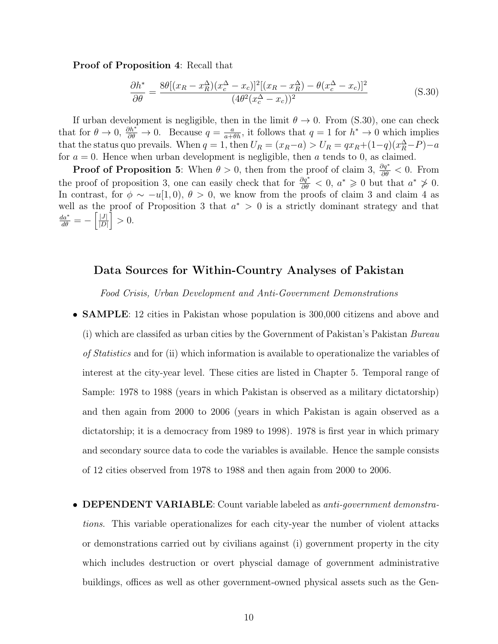Proof of Proposition 4: Recall that

$$
\frac{\partial h^*}{\partial \theta} = \frac{8\theta [(x_R - x_R^{\Delta})(x_c^{\Delta} - x_c)]^2 [(x_R - x_R^{\Delta}) - \theta (x_c^{\Delta} - x_c)]^2}{(4\theta^2 (x_c^{\Delta} - x_c))^2}
$$
(S.30)

If urban development is negligible, then in the limit  $\theta \to 0$ . From (S.30), one can check that for  $\theta \to 0$ ,  $\frac{\partial h^*}{\partial \theta} \to 0$ . Because  $q = \frac{a}{a + \theta h}$ , it follows that  $q = 1$  for  $h^* \to 0$  which implies that the status quo prevails. When  $q = 1$ , then  $U_R = (x_R - a) > U_R = qx_R + (1 - q)(x_R^{\Delta} - P) - a$ for  $a = 0$ . Hence when urban development is negligible, then a tends to 0, as claimed.

**Proof of Proposition 5:** When  $\theta > 0$ , then from the proof of claim 3,  $\frac{\partial q^*}{\partial \theta} < 0$ . From the proof of proposition 3, one can easily check that for  $\frac{\partial q^*}{\partial \theta} < 0$ ,  $a^* \geq 0$  but that  $a^* \geq 0$ . In contrast, for  $\phi \sim -u(1,0), \theta > 0$ , we know from the proofs of claim 3 and claim 4 as well as the proof of Proposition 3 that  $a^* > 0$  is a strictly dominant strategy and that  $\frac{da^*}{d\theta}=-\left[\frac{|J|}{|D|}\right]$  $\left|\frac{|J|}{|D|}\right| > 0.$ 

#### Data Sources for Within-Country Analyses of Pakistan

Food Crisis, Urban Development and Anti-Government Demonstrations

- **SAMPLE**: 12 cities in Pakistan whose population is 300,000 citizens and above and (i) which are classifed as urban cities by the Government of Pakistan's Pakistan Bureau of Statistics and for (ii) which information is available to operationalize the variables of interest at the city-year level. These cities are listed in Chapter 5. Temporal range of Sample: 1978 to 1988 (years in which Pakistan is observed as a military dictatorship) and then again from 2000 to 2006 (years in which Pakistan is again observed as a dictatorship; it is a democracy from 1989 to 1998). 1978 is first year in which primary and secondary source data to code the variables is available. Hence the sample consists of 12 cities observed from 1978 to 1988 and then again from 2000 to 2006.
- **DEPENDENT VARIABLE**: Count variable labeled as *anti-government demonstra*tions. This variable operationalizes for each city-year the number of violent attacks or demonstrations carried out by civilians against (i) government property in the city which includes destruction or overt physcial damage of government administrative buildings, offices as well as other government-owned physical assets such as the Gen-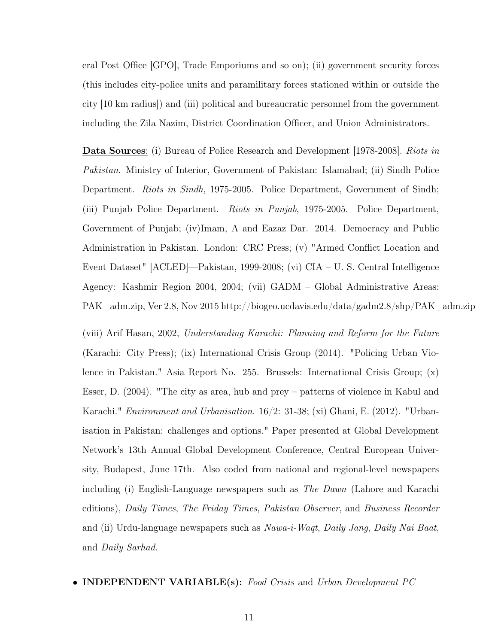eral Post Office [GPO], Trade Emporiums and so on); (ii) government security forces (this includes city-police units and paramilitary forces stationed within or outside the city [10 km radius]) and (iii) political and bureaucratic personnel from the government including the Zila Nazim, District Coordination Officer, and Union Administrators.

Data Sources: (i) Bureau of Police Research and Development [1978-2008]. Riots in Pakistan. Ministry of Interior, Government of Pakistan: Islamabad; (ii) Sindh Police Department. Riots in Sindh, 1975-2005. Police Department, Government of Sindh; (iii) Punjab Police Department. Riots in Punjab, 1975-2005. Police Department, Government of Punjab; (iv)Imam, A and Eazaz Dar. 2014. Democracy and Public Administration in Pakistan. London: CRC Press; (v) "Armed Conflict Location and Event Dataset" [ACLED]—Pakistan, 1999-2008; (vi) CIA – U. S. Central Intelligence Agency: Kashmir Region 2004, 2004; (vii) GADM – Global Administrative Areas: PAK\_adm.zip, Ver 2.8, Nov 2015 http://biogeo.ucdavis.edu/data/gadm2.8/shp/PAK\_adm.zip

(viii) Arif Hasan, 2002, Understanding Karachi: Planning and Reform for the Future (Karachi: City Press); (ix) International Crisis Group (2014). "Policing Urban Violence in Pakistan." Asia Report No. 255. Brussels: International Crisis Group; (x) Esser, D. (2004). "The city as area, hub and prey – patterns of violence in Kabul and Karachi." *Environment and Urbanisation.* 16/2: 31-38; (xi) Ghani, E. (2012). "Urbanisation in Pakistan: challenges and options." Paper presented at Global Development Network's 13th Annual Global Development Conference, Central European University, Budapest, June 17th. Also coded from national and regional-level newspapers including (i) English-Language newspapers such as The Dawn (Lahore and Karachi editions), Daily Times, The Friday Times, Pakistan Observer, and Business Recorder and (ii) Urdu-language newspapers such as  $Nawa-i-Wagt$ , Daily Jang, Daily Nai Baat, and Daily Sarhad.

#### • INDEPENDENT VARIABLE(s): Food Crisis and Urban Development PC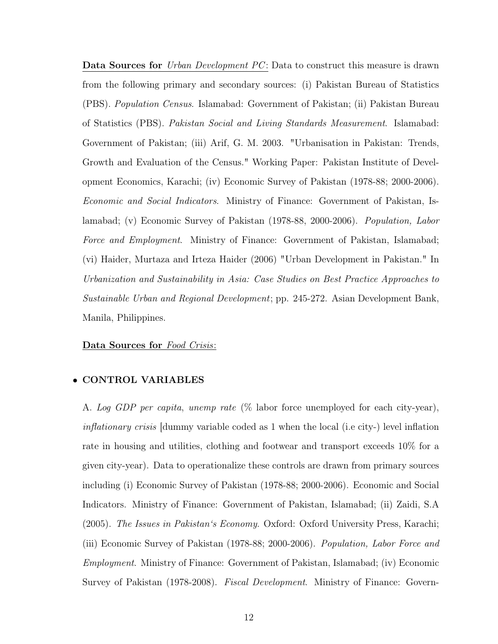Data Sources for Urban Development PC: Data to construct this measure is drawn from the following primary and secondary sources: (i) Pakistan Bureau of Statistics (PBS). Population Census. Islamabad: Government of Pakistan; (ii) Pakistan Bureau of Statistics (PBS). Pakistan Social and Living Standards Measurement. Islamabad: Government of Pakistan; (iii) Arif, G. M. 2003. "Urbanisation in Pakistan: Trends, Growth and Evaluation of the Census." Working Paper: Pakistan Institute of Development Economics, Karachi; (iv) Economic Survey of Pakistan (1978-88; 2000-2006). Economic and Social Indicators. Ministry of Finance: Government of Pakistan, Islamabad; (v) Economic Survey of Pakistan (1978-88, 2000-2006). Population, Labor Force and Employment. Ministry of Finance: Government of Pakistan, Islamabad; (vi) Haider, Murtaza and Irteza Haider (2006) "Urban Development in Pakistan." In Urbanization and Sustainability in Asia: Case Studies on Best Practice Approaches to Sustainable Urban and Regional Development; pp. 245-272. Asian Development Bank, Manila, Philippines.

#### Data Sources for Food Crisis:

#### • CONTROL VARIABLES

A. Log GDP per capita, unemp rate (% labor force unemployed for each city-year), inflationary crisis [dummy variable coded as 1 when the local (i.e city-) level inflation rate in housing and utilities, clothing and footwear and transport exceeds 10% for a given city-year). Data to operationalize these controls are drawn from primary sources including (i) Economic Survey of Pakistan (1978-88; 2000-2006). Economic and Social Indicators. Ministry of Finance: Government of Pakistan, Islamabad; (ii) Zaidi, S.A (2005). The Issues in Pakistan's Economy. Oxford: Oxford University Press, Karachi; (iii) Economic Survey of Pakistan (1978-88; 2000-2006). Population, Labor Force and Employment. Ministry of Finance: Government of Pakistan, Islamabad; (iv) Economic Survey of Pakistan (1978-2008). Fiscal Development. Ministry of Finance: Govern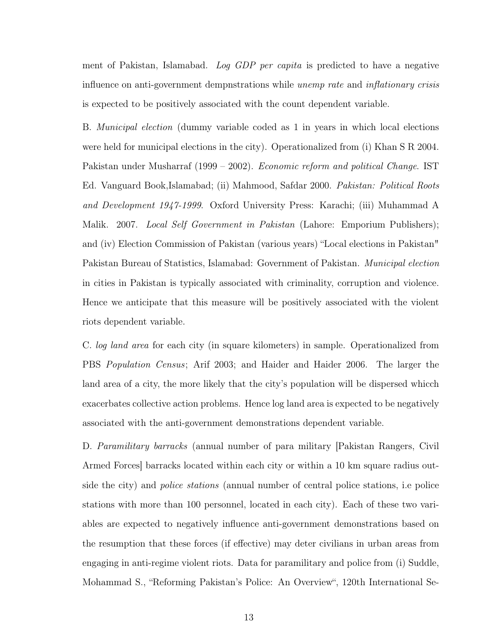ment of Pakistan, Islamabad. Log GDP per capita is predicted to have a negative influence on anti-government dempnstrations while *unemp* rate and *inflationary crisis* is expected to be positively associated with the count dependent variable.

B. Municipal election (dummy variable coded as 1 in years in which local elections were held for municipal elections in the city). Operationalized from (i) Khan S R 2004. Pakistan under Musharraf (1999 – 2002). Economic reform and political Change. IST Ed. Vanguard Book,Islamabad; (ii) Mahmood, Safdar 2000. Pakistan: Political Roots and Development 1947-1999. Oxford University Press: Karachi; (iii) Muhammad A Malik. 2007. Local Self Government in Pakistan (Lahore: Emporium Publishers); and (iv) Election Commission of Pakistan (various years) "Local elections in Pakistan" Pakistan Bureau of Statistics, Islamabad: Government of Pakistan. Municipal election in cities in Pakistan is typically associated with criminality, corruption and violence. Hence we anticipate that this measure will be positively associated with the violent riots dependent variable.

C. log land area for each city (in square kilometers) in sample. Operationalized from PBS Population Census; Arif 2003; and Haider and Haider 2006. The larger the land area of a city, the more likely that the city's population will be dispersed whicch exacerbates collective action problems. Hence log land area is expected to be negatively associated with the anti-government demonstrations dependent variable.

D. Paramilitary barracks (annual number of para military [Pakistan Rangers, Civil Armed Forces] barracks located within each city or within a 10 km square radius outside the city) and police stations (annual number of central police stations, i.e police stations with more than 100 personnel, located in each city). Each of these two variables are expected to negatively influence anti-government demonstrations based on the resumption that these forces (if effective) may deter civilians in urban areas from engaging in anti-regime violent riots. Data for paramilitary and police from (i) Suddle, Mohammad S., "Reforming Pakistan's Police: An Overview", 120th International Se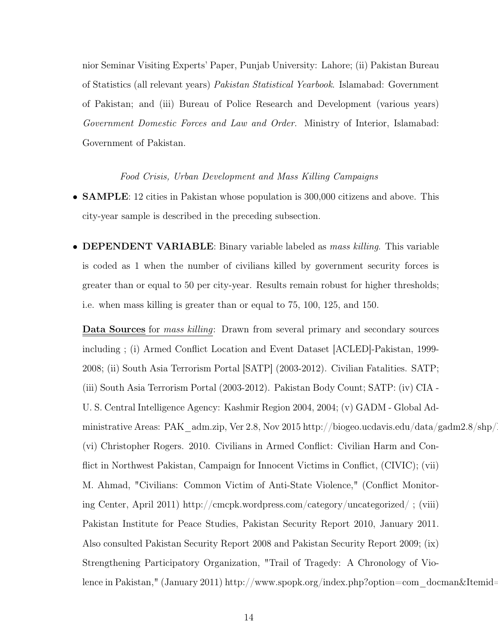nior Seminar Visiting Experts' Paper, Punjab University: Lahore; (ii) Pakistan Bureau of Statistics (all relevant years) Pakistan Statistical Yearbook. Islamabad: Government of Pakistan; and (iii) Bureau of Police Research and Development (various years) Government Domestic Forces and Law and Order. Ministry of Interior, Islamabad: Government of Pakistan.

Food Crisis, Urban Development and Mass Killing Campaigns

- **SAMPLE**: 12 cities in Pakistan whose population is 300,000 citizens and above. This city-year sample is described in the preceding subsection.
- **DEPENDENT VARIABLE**: Binary variable labeled as *mass killing*. This variable is coded as 1 when the number of civilians killed by government security forces is greater than or equal to 50 per city-year. Results remain robust for higher thresholds; i.e. when mass killing is greater than or equal to 75, 100, 125, and 150.

Data Sources for mass killing: Drawn from several primary and secondary sources including ; (i) Armed Conflict Location and Event Dataset [ACLED]-Pakistan, 1999- 2008; (ii) South Asia Terrorism Portal [SATP] (2003-2012). Civilian Fatalities. SATP; (iii) South Asia Terrorism Portal (2003-2012). Pakistan Body Count; SATP: (iv) CIA - U. S. Central Intelligence Agency: Kashmir Region 2004, 2004; (v) GADM - Global Administrative Areas: PAK\_adm.zip, Ver 2.8, Nov 2015 http://biogeo.ucdavis.edu/data/gadm2.8/shp/ (vi) Christopher Rogers. 2010. Civilians in Armed Conflict: Civilian Harm and Conflict in Northwest Pakistan, Campaign for Innocent Victims in Conflict, (CIVIC); (vii) M. Ahmad, "Civilians: Common Victim of Anti-State Violence," (Conflict Monitoring Center, April 2011) http://cmcpk.wordpress.com/category/uncategorized/ ; (viii) Pakistan Institute for Peace Studies, Pakistan Security Report 2010, January 2011. Also consulted Pakistan Security Report 2008 and Pakistan Security Report 2009; (ix) Strengthening Participatory Organization, "Trail of Tragedy: A Chronology of Violence in Pakistan," (January 2011) http://www.spopk.org/index.php?option=com\_docman&Itemid=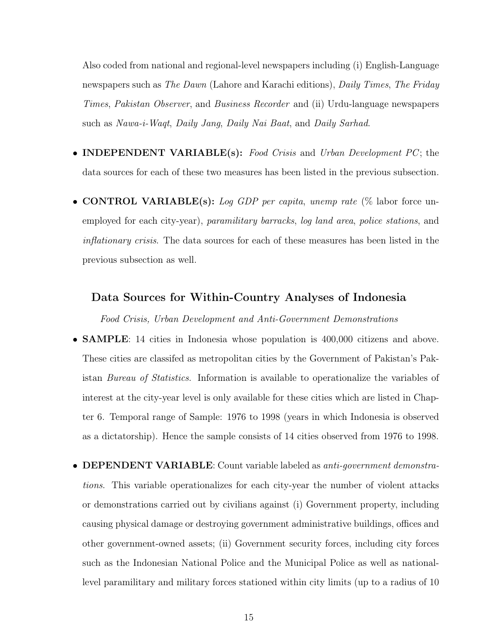Also coded from national and regional-level newspapers including (i) English-Language newspapers such as The Dawn (Lahore and Karachi editions), Daily Times, The Friday Times, Pakistan Observer, and Business Recorder and (ii) Urdu-language newspapers such as Nawa-i-Waqt, Daily Jang, Daily Nai Baat, and Daily Sarhad.

- **INDEPENDENT VARIABLE**(s): Food Crisis and Urban Development PC; the data sources for each of these two measures has been listed in the previous subsection.
- CONTROL VARIABLE(s): Log GDP per capita, unemp rate  $\%$  labor force unemployed for each city-year), paramilitary barracks, log land area, police stations, and inflationary crisis. The data sources for each of these measures has been listed in the previous subsection as well.

#### Data Sources for Within-Country Analyses of Indonesia

Food Crisis, Urban Development and Anti-Government Demonstrations

- **SAMPLE**: 14 cities in Indonesia whose population is 400,000 citizens and above. These cities are classifed as metropolitan cities by the Government of Pakistan's Pakistan Bureau of Statistics. Information is available to operationalize the variables of interest at the city-year level is only available for these cities which are listed in Chapter 6. Temporal range of Sample: 1976 to 1998 (years in which Indonesia is observed as a dictatorship). Hence the sample consists of 14 cities observed from 1976 to 1998.
- DEPENDENT VARIABLE: Count variable labeled as *anti-government demonstra*tions. This variable operationalizes for each city-year the number of violent attacks or demonstrations carried out by civilians against (i) Government property, including causing physical damage or destroying government administrative buildings, offices and other government-owned assets; (ii) Government security forces, including city forces such as the Indonesian National Police and the Municipal Police as well as nationallevel paramilitary and military forces stationed within city limits (up to a radius of 10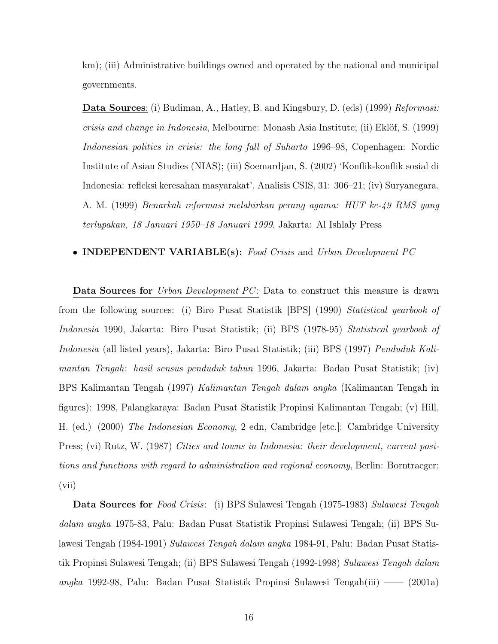km); (iii) Administrative buildings owned and operated by the national and municipal governments.

Data Sources: (i) Budiman, A., Hatley, B. and Kingsbury, D. (eds) (1999) Reformasi: crisis and change in Indonesia, Melbourne: Monash Asia Institute; (ii) Eklöf, S. (1999) Indonesian politics in crisis: the long fall of Suharto 1996–98, Copenhagen: Nordic Institute of Asian Studies (NIAS); (iii) Soemardjan, S. (2002) 'Konflik-konflik sosial di Indonesia: refleksi keresahan masyarakat', Analisis CSIS, 31: 306–21; (iv) Suryanegara, A. M. (1999) Benarkah reformasi melahirkan perang agama: HUT ke-49 RMS yang terlupakan, 18 Januari 1950–18 Januari 1999, Jakarta: Al Ishlaly Press

#### • INDEPENDENT VARIABLE(s): Food Crisis and Urban Development PC

Data Sources for Urban Development PC: Data to construct this measure is drawn from the following sources: (i) Biro Pusat Statistik [BPS] (1990) Statistical yearbook of Indonesia 1990, Jakarta: Biro Pusat Statistik; (ii) BPS (1978-95) Statistical yearbook of Indonesia (all listed years), Jakarta: Biro Pusat Statistik; (iii) BPS (1997) Penduduk Kalimantan Tengah: hasil sensus penduduk tahun 1996, Jakarta: Badan Pusat Statistik; (iv) BPS Kalimantan Tengah (1997) Kalimantan Tengah dalam angka (Kalimantan Tengah in figures): 1998, Palangkaraya: Badan Pusat Statistik Propinsi Kalimantan Tengah; (v) Hill, H. (ed.) (2000) The Indonesian Economy, 2 edn, Cambridge [etc.]: Cambridge University Press; (vi) Rutz, W. (1987) Cities and towns in Indonesia: their development, current positions and functions with regard to administration and regional economy, Berlin: Borntraeger; (vii)

Data Sources for Food Crisis: (i) BPS Sulawesi Tengah (1975-1983) Sulawesi Tengah dalam angka 1975-83, Palu: Badan Pusat Statistik Propinsi Sulawesi Tengah; (ii) BPS Sulawesi Tengah (1984-1991) Sulawesi Tengah dalam angka 1984-91, Palu: Badan Pusat Statistik Propinsi Sulawesi Tengah; (ii) BPS Sulawesi Tengah (1992-1998) Sulawesi Tengah dalam angka 1992-98, Palu: Badan Pusat Statistik Propinsi Sulawesi Tengah(iii) —— (2001a)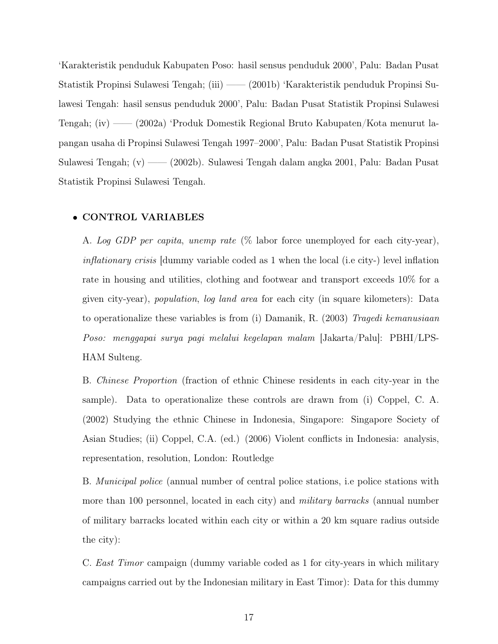'Karakteristik penduduk Kabupaten Poso: hasil sensus penduduk 2000', Palu: Badan Pusat Statistik Propinsi Sulawesi Tengah; (iii) —— (2001b) 'Karakteristik penduduk Propinsi Sulawesi Tengah: hasil sensus penduduk 2000', Palu: Badan Pusat Statistik Propinsi Sulawesi Tengah; (iv) —— (2002a) 'Produk Domestik Regional Bruto Kabupaten/Kota menurut lapangan usaha di Propinsi Sulawesi Tengah 1997–2000', Palu: Badan Pusat Statistik Propinsi Sulawesi Tengah; (v) —— (2002b). Sulawesi Tengah dalam angka 2001, Palu: Badan Pusat Statistik Propinsi Sulawesi Tengah.

#### • CONTROL VARIABLES

A. Log GDP per capita, unemp rate (% labor force unemployed for each city-year), inflationary crisis [dummy variable coded as 1 when the local (i.e city-) level inflation rate in housing and utilities, clothing and footwear and transport exceeds 10% for a given city-year), population, log land area for each city (in square kilometers): Data to operationalize these variables is from (i) Damanik, R. (2003) Tragedi kemanusiaan Poso: menggapai surya pagi melalui kegelapan malam [Jakarta/Palu]: PBHI/LPS-HAM Sulteng.

B. Chinese Proportion (fraction of ethnic Chinese residents in each city-year in the sample). Data to operationalize these controls are drawn from (i) Coppel, C. A. (2002) Studying the ethnic Chinese in Indonesia, Singapore: Singapore Society of Asian Studies; (ii) Coppel, C.A. (ed.) (2006) Violent conflicts in Indonesia: analysis, representation, resolution, London: Routledge

B. Municipal police (annual number of central police stations, i.e police stations with more than 100 personnel, located in each city) and military barracks (annual number of military barracks located within each city or within a 20 km square radius outside the city):

C. East Timor campaign (dummy variable coded as 1 for city-years in which military campaigns carried out by the Indonesian military in East Timor): Data for this dummy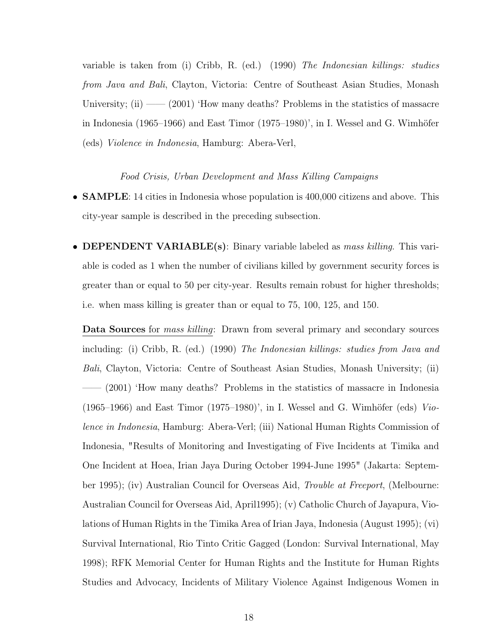variable is taken from (i) Cribb, R. (ed.) (1990) The Indonesian killings: studies from Java and Bali, Clayton, Victoria: Centre of Southeast Asian Studies, Monash University; (ii) —— (2001) 'How many deaths? Problems in the statistics of massacre in Indonesia (1965–1966) and East Timor (1975–1980)', in I. Wessel and G. Wimhöfer (eds) Violence in Indonesia, Hamburg: Abera-Verl,

#### Food Crisis, Urban Development and Mass Killing Campaigns

- **SAMPLE**: 14 cities in Indonesia whose population is 400,000 citizens and above. This city-year sample is described in the preceding subsection.
- **DEPENDENT VARIABLE**(s): Binary variable labeled as *mass killing*. This variable is coded as 1 when the number of civilians killed by government security forces is greater than or equal to 50 per city-year. Results remain robust for higher thresholds; i.e. when mass killing is greater than or equal to 75, 100, 125, and 150.

Data Sources for mass killing: Drawn from several primary and secondary sources including: (i) Cribb, R. (ed.) (1990) The Indonesian killings: studies from Java and Bali, Clayton, Victoria: Centre of Southeast Asian Studies, Monash University; (ii) —— (2001) 'How many deaths? Problems in the statistics of massacre in Indonesia  $(1965-1966)$  and East Timor  $(1975-1980)$ ', in I. Wessel and G. Wimhöfer (eds) *Vio*lence in Indonesia, Hamburg: Abera-Verl; (iii) National Human Rights Commission of Indonesia, "Results of Monitoring and Investigating of Five Incidents at Timika and One Incident at Hoea, Irian Jaya During October 1994-June 1995" (Jakarta: September 1995); (iv) Australian Council for Overseas Aid, Trouble at Freeport, (Melbourne: Australian Council for Overseas Aid, April1995); (v) Catholic Church of Jayapura, Violations of Human Rights in the Timika Area of Irian Jaya, Indonesia (August 1995); (vi) Survival International, Rio Tinto Critic Gagged (London: Survival International, May 1998); RFK Memorial Center for Human Rights and the Institute for Human Rights Studies and Advocacy, Incidents of Military Violence Against Indigenous Women in